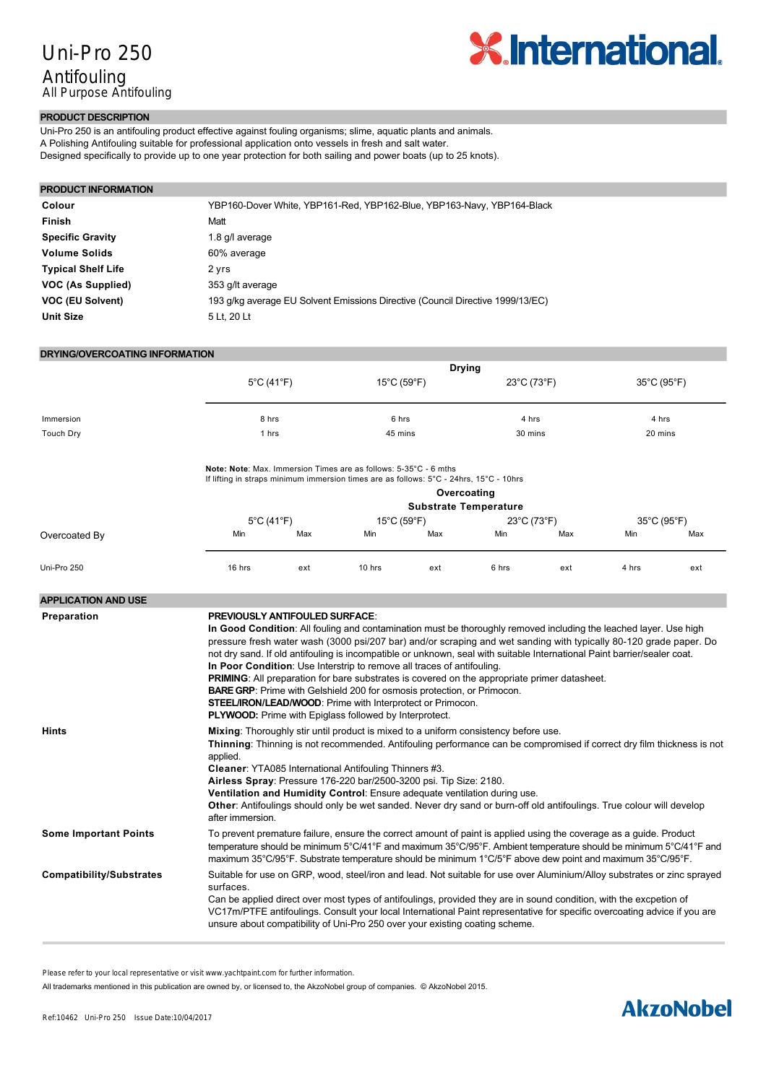

# **PRODUCT DESCRIPTION**

Uni-Pro 250 is an antifouling product effective against fouling organisms; slime, aquatic plants and animals. A Polishing Antifouling suitable for professional application onto vessels in fresh and salt water. Designed specifically to provide up to one year protection for both sailing and power boats (up to 25 knots).

### **PRODUCT INFORMATION**

| Colour                    | YBP160-Dover White, YBP161-Red, YBP162-Blue, YBP163-Navy, YBP164-Black         |
|---------------------------|--------------------------------------------------------------------------------|
| Finish                    | Matt                                                                           |
| <b>Specific Gravity</b>   | 1.8 g/l average                                                                |
| <b>Volume Solids</b>      | 60% average                                                                    |
| <b>Typical Shelf Life</b> | 2 vrs                                                                          |
| VOC (As Supplied)         | 353 g/lt average                                                               |
| <b>VOC (EU Solvent)</b>   | 193 g/kg average EU Solvent Emissions Directive (Council Directive 1999/13/EC) |
| <b>Unit Size</b>          | 5 Lt. 20 Lt                                                                    |

## **DRYING/OVERCOATING INFORMATION**

|           | <b>Drying</b>                   |             |             |             |
|-----------|---------------------------------|-------------|-------------|-------------|
|           | $5^{\circ}$ C (41 $^{\circ}$ F) | 15°C (59°F) | 23°C (73°F) | 35°C (95°F) |
|           |                                 |             |             |             |
| Immersion | 8 hrs                           | 6 hrs       | 4 hrs       | 4 hrs       |
| Touch Dry | l hrs                           | 45 mins     | 30 mins     | 20 mins     |

#### **Note: Note**: Max. Immersion Times are as follows: 5-35°C - 6 mths

If lifting in straps minimum immersion times are as follows: 5°C - 24hrs, 15°C - 10hrs

|               |                                 |     |                                  | <b>Substrate Temperature</b> | Overcoating |     |             |     |
|---------------|---------------------------------|-----|----------------------------------|------------------------------|-------------|-----|-------------|-----|
|               | $5^{\circ}$ C (41 $^{\circ}$ F) |     | $15^{\circ}$ C (59 $^{\circ}$ F) |                              | 23°C (73°F) |     | 35°C (95°F) |     |
| Overcoated By | Min                             | Max | Min                              | Max                          | Min         | Max | Min         | Max |
| Uni-Pro 250   | 16 hrs                          | ext | 10 hrs                           | ext                          | 6 hrs       | ext | 4 hrs       | ext |

| <b>APPLICATION AND USE</b>      |                                                                                                                                                                                                                                                                                                                                                                                                                                                                                                                                                                                                                                                                                                                                                                                                                |
|---------------------------------|----------------------------------------------------------------------------------------------------------------------------------------------------------------------------------------------------------------------------------------------------------------------------------------------------------------------------------------------------------------------------------------------------------------------------------------------------------------------------------------------------------------------------------------------------------------------------------------------------------------------------------------------------------------------------------------------------------------------------------------------------------------------------------------------------------------|
| Preparation                     | <b>PREVIOUSLY ANTIFOULED SURFACE:</b><br>In Good Condition: All fouling and contamination must be thoroughly removed including the leached layer. Use high<br>pressure fresh water wash (3000 psi/207 bar) and/or scraping and wet sanding with typically 80-120 grade paper. Do<br>not dry sand. If old antifouling is incompatible or unknown, seal with suitable International Paint barrier/sealer coat.<br>In Poor Condition: Use Interstrip to remove all traces of antifouling.<br><b>PRIMING:</b> All preparation for bare substrates is covered on the appropriate primer datasheet.<br><b>BARE GRP:</b> Prime with Gelshield 200 for osmosis protection, or Primocon.<br>STEEL/IRON/LEAD/WOOD: Prime with Interprotect or Primocon.<br><b>PLYWOOD:</b> Prime with Epiglass followed by Interprotect. |
| <b>Hints</b>                    | Mixing: Thoroughly stir until product is mixed to a uniform consistency before use.<br>Thinning: Thinning is not recommended. Antifouling performance can be compromised if correct dry film thickness is not<br>applied.<br>Cleaner: YTA085 International Antifouling Thinners #3.<br>Airless Spray: Pressure 176-220 bar/2500-3200 psi. Tip Size: 2180.<br>Ventilation and Humidity Control: Ensure adequate ventilation during use.<br>Other: Antifoulings should only be wet sanded. Never dry sand or burn-off old antifoulings. True colour will develop<br>after immersion.                                                                                                                                                                                                                             |
| <b>Some Important Points</b>    | To prevent premature failure, ensure the correct amount of paint is applied using the coverage as a guide. Product<br>temperature should be minimum 5°C/41°F and maximum 35°C/95°F. Ambient temperature should be minimum 5°C/41°F and<br>maximum 35°C/95°F. Substrate temperature should be minimum 1°C/5°F above dew point and maximum 35°C/95°F.                                                                                                                                                                                                                                                                                                                                                                                                                                                            |
| <b>Compatibility/Substrates</b> | Suitable for use on GRP, wood, steel/iron and lead. Not suitable for use over Aluminium/Alloy substrates or zinc sprayed<br>surfaces.<br>Can be applied direct over most types of antifoulings, provided they are in sound condition, with the excpetion of<br>VC17m/PTFE antifoulings. Consult your local International Paint representative for specific overcoating advice if you are<br>unsure about compatibility of Uni-Pro 250 over your existing coating scheme.                                                                                                                                                                                                                                                                                                                                       |

**By spray**: Please refer to your local representative or visit www.yachtpaint.com for further information.

All trademarks mentioned in this publication are owned by, or licensed to, the AkzoNobel group of companies. © AkzoNobel 2015.